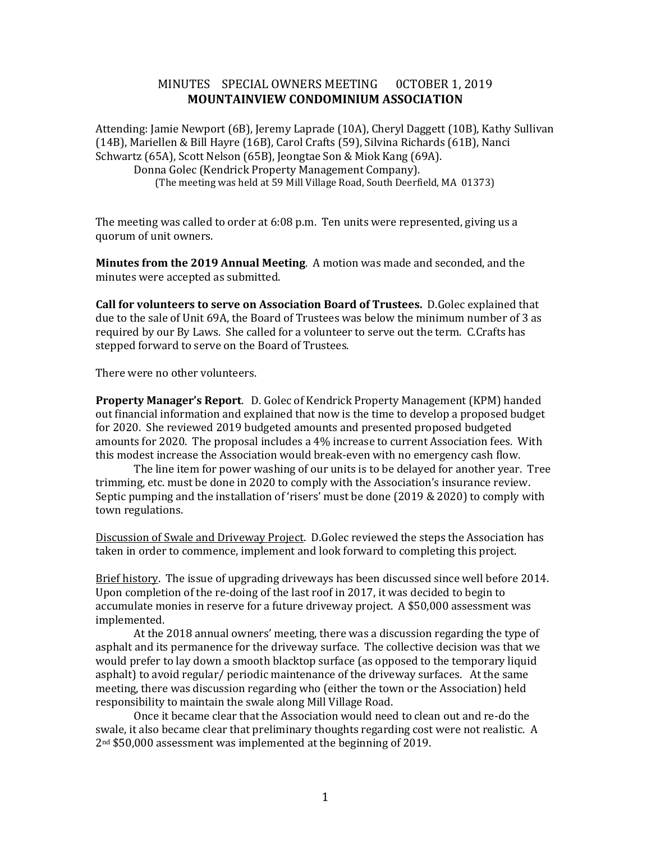## MINUTES SPECIAL OWNERS MEETING 0CTOBER 1, 2019 **MOUNTAINVIEW CONDOMINIUM ASSOCIATION**

Attending: Jamie Newport (6B), Jeremy Laprade (10A), Cheryl Daggett (10B), Kathy Sullivan (14B), Mariellen & Bill Hayre (16B), Carol Crafts (59), Silvina Richards (61B), Nanci Schwartz (65A), Scott Nelson (65B), Jeongtae Son & Miok Kang (69A). Donna Golec (Kendrick Property Management Company). (The meeting was held at 59 Mill Village Road, South Deerfield, MA 01373)

The meeting was called to order at 6:08 p.m. Ten units were represented, giving us a quorum of unit owners.

**Minutes from the 2019 Annual Meeting**. A motion was made and seconded, and the minutes were accepted as submitted.

**Call for volunteers to serve on Association Board of Trustees.** D.Golec explained that due to the sale of Unit 69A, the Board of Trustees was below the minimum number of 3 as required by our By Laws. She called for a volunteer to serve out the term. C.Crafts has stepped forward to serve on the Board of Trustees.

There were no other volunteers.

**Property Manager's Report**. D. Golec of Kendrick Property Management (KPM) handed out financial information and explained that now is the time to develop a proposed budget for 2020. She reviewed 2019 budgeted amounts and presented proposed budgeted amounts for 2020. The proposal includes a 4% increase to current Association fees. With this modest increase the Association would break-even with no emergency cash flow.

The line item for power washing of our units is to be delayed for another year. Tree trimming, etc. must be done in 2020 to comply with the Association's insurance review. Septic pumping and the installation of 'risers' must be done (2019 & 2020) to comply with town regulations.

Discussion of Swale and Driveway Project. D.Golec reviewed the steps the Association has taken in order to commence, implement and look forward to completing this project.

Brief history. The issue of upgrading driveways has been discussed since well before 2014. Upon completion of the re-doing of the last roof in 2017, it was decided to begin to accumulate monies in reserve for a future driveway project. A \$50,000 assessment was implemented.

At the 2018 annual owners' meeting, there was a discussion regarding the type of asphalt and its permanence for the driveway surface. The collective decision was that we would prefer to lay down a smooth blacktop surface (as opposed to the temporary liquid asphalt) to avoid regular/ periodic maintenance of the driveway surfaces. At the same meeting, there was discussion regarding who (either the town or the Association) held responsibility to maintain the swale along Mill Village Road.

Once it became clear that the Association would need to clean out and re-do the swale, it also became clear that preliminary thoughts regarding cost were not realistic. A 2nd \$50,000 assessment was implemented at the beginning of 2019.